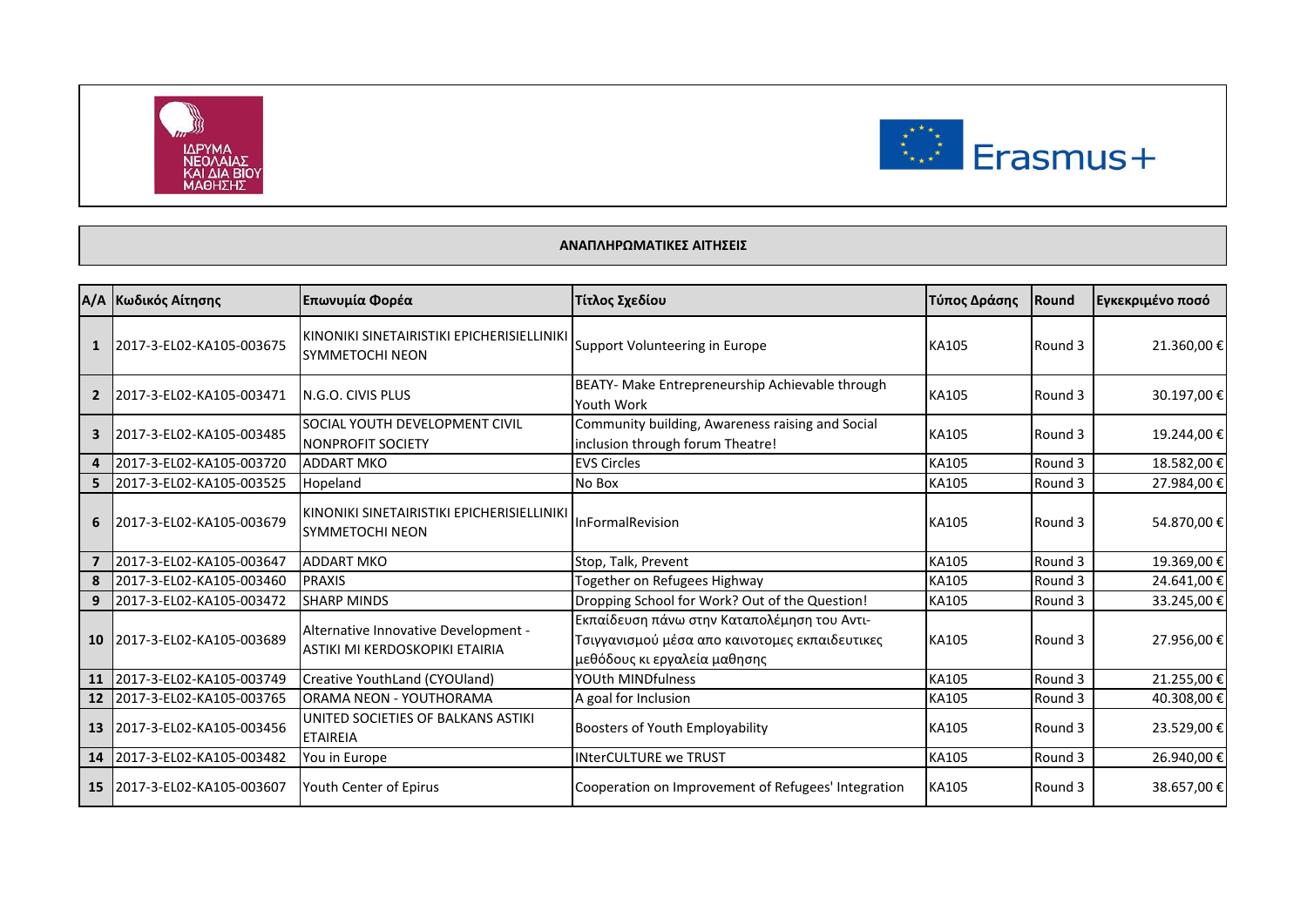



## **ΑΝΑΠΛΗΡΩΜΑΤΙΚΕΣ ΑΙΤΗΣΕΙΣ**

|                | Α/Α Κωδικός Αίτησης      | Επωνυμία Φορέα                                                         | Τίτλος Σχεδίου                                                                                                                | Τύπος Δράσης | Round   | Εγκεκριμένο ποσό |
|----------------|--------------------------|------------------------------------------------------------------------|-------------------------------------------------------------------------------------------------------------------------------|--------------|---------|------------------|
| 1              | 2017-3-EL02-KA105-003675 | KINONIKI SINETAIRISTIKI EPICHERISIELLINIKI<br><b>SYMMETOCHI NEON</b>   | Support Volunteering in Europe                                                                                                | KA105        | Round 3 | 21.360,00€       |
| $\overline{2}$ | 2017-3-EL02-KA105-003471 | N.G.O. CIVIS PLUS                                                      | BEATY- Make Entrepreneurship Achievable through<br>Youth Work                                                                 | KA105        | Round 3 | 30.197,00 €      |
| 3              | 2017-3-EL02-KA105-003485 | SOCIAL YOUTH DEVELOPMENT CIVIL<br><b>NONPROFIT SOCIETY</b>             | Community building, Awareness raising and Social<br>inclusion through forum Theatre!                                          | KA105        | Round 3 | 19.244,00€       |
| 4              | 2017-3-EL02-KA105-003720 | <b>ADDART MKO</b>                                                      | <b>EVS Circles</b>                                                                                                            | KA105        | Round 3 | 18.582,00€       |
| 5              | 2017-3-EL02-KA105-003525 | Hopeland                                                               | No Box                                                                                                                        | KA105        | Round 3 | 27.984,00€       |
| 6              | 2017-3-EL02-KA105-003679 | KINONIKI SINETAIRISTIKI EPICHERISIELLINIKI<br><b>SYMMETOCHI NEON</b>   | InFormalRevision                                                                                                              | KA105        | Round 3 | 54.870,00 €      |
|                | 2017-3-EL02-KA105-003647 | <b>ADDART MKO</b>                                                      | Stop, Talk, Prevent                                                                                                           | <b>KA105</b> | Round 3 | 19.369,00€       |
| 8              | 2017-3-EL02-KA105-003460 | <b>PRAXIS</b>                                                          | Together on Refugees Highway                                                                                                  | KA105        | Round 3 | 24.641,00€       |
| 9              | 2017-3-EL02-KA105-003472 | <b>SHARP MINDS</b>                                                     | Dropping School for Work? Out of the Question!                                                                                | KA105        | Round 3 | 33.245,00€       |
| 10             | 2017-3-EL02-KA105-003689 | Alternative Innovative Development -<br>ASTIKI MI KERDOSKOPIKI ETAIRIA | Εκπαίδευση πάνω στην Καταπολέμηση του Αντι-<br>Τσιγγανισμού μέσα απο καινοτομες εκπαιδευτικες<br>μεθόδους κι εργαλεία μαθησης | <b>KA105</b> | Round 3 | 27.956,00 €      |
| 11             | 2017-3-EL02-KA105-003749 | Creative YouthLand (CYOUland)                                          | YOUth MINDfulness                                                                                                             | <b>KA105</b> | Round 3 | 21.255,00€       |
| 12             | 2017-3-EL02-KA105-003765 | ORAMA NEON - YOUTHORAMA                                                | A goal for Inclusion                                                                                                          | KA105        | Round 3 | 40.308,00€       |
| 13             | 2017-3-EL02-KA105-003456 | UNITED SOCIETIES OF BALKANS ASTIKI<br><b>ETAIREIA</b>                  | Boosters of Youth Employability                                                                                               | KA105        | Round 3 | 23.529,00€       |
| 14             | 2017-3-EL02-KA105-003482 | You in Europe                                                          | <b>INterCULTURE we TRUST</b>                                                                                                  | KA105        | Round 3 | 26.940,00€       |
| 15             | 2017-3-EL02-KA105-003607 | Youth Center of Epirus                                                 | Cooperation on Improvement of Refugees' Integration                                                                           | <b>KA105</b> | Round 3 | 38.657,00 €      |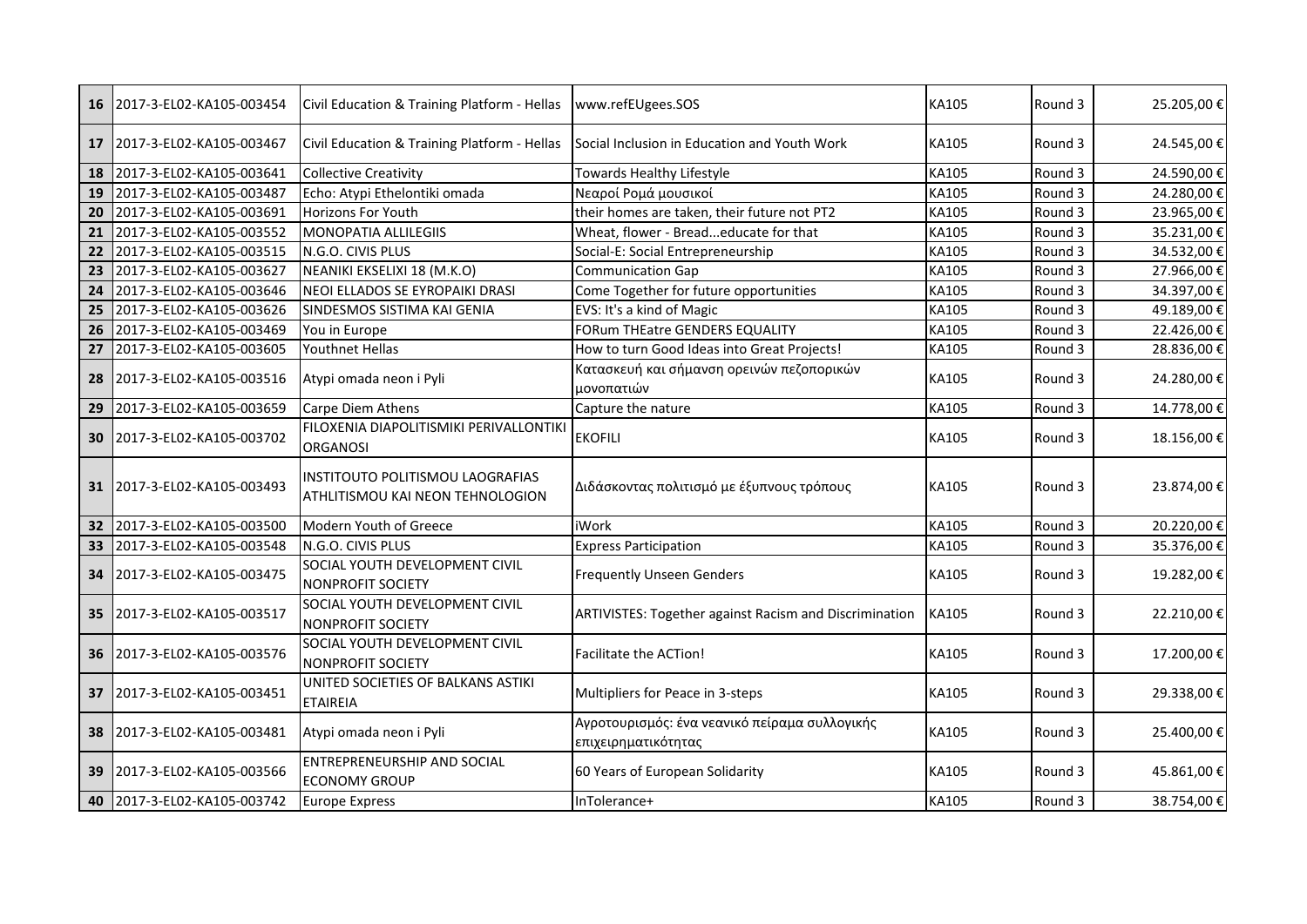| 16 | 2017-3-EL02-KA105-003454 | Civil Education & Training Platform - Hellas                         | www.refEUgees.SOS                                                    | KA105 | Round 3 | 25.205,00€  |
|----|--------------------------|----------------------------------------------------------------------|----------------------------------------------------------------------|-------|---------|-------------|
| 17 | 2017-3-EL02-KA105-003467 | Civil Education & Training Platform - Hellas                         | Social Inclusion in Education and Youth Work                         | KA105 | Round 3 | 24.545,00€  |
| 18 | 2017-3-EL02-KA105-003641 | <b>Collective Creativity</b>                                         | Towards Healthy Lifestyle                                            | KA105 | Round 3 | 24.590,00€  |
| 19 | 2017-3-EL02-KA105-003487 | Echo: Atypi Ethelontiki omada                                        | Νεαροί Ρομά μουσικοί                                                 | KA105 | Round 3 | 24.280,00€  |
| 20 | 2017-3-EL02-KA105-003691 | Horizons For Youth                                                   | their homes are taken, their future not PT2                          | KA105 | Round 3 | 23.965,00€  |
| 21 | 2017-3-EL02-KA105-003552 | MONOPATIA ALLILEGIIS                                                 | Wheat, flower - Breadeducate for that                                | KA105 | Round 3 | 35.231,00€  |
| 22 | 2017-3-EL02-KA105-003515 | N.G.O. CIVIS PLUS                                                    | Social-E: Social Entrepreneurship                                    | KA105 | Round 3 | 34.532,00€  |
| 23 | 2017-3-EL02-KA105-003627 | NEANIKI EKSELIXI 18 (M.K.O)                                          | <b>Communication Gap</b>                                             | KA105 | Round 3 | 27.966,00€  |
| 24 | 2017-3-EL02-KA105-003646 | NEOI ELLADOS SE EYROPAIKI DRASI                                      | Come Together for future opportunities                               | KA105 | Round 3 | 34.397,00€  |
| 25 | 2017-3-EL02-KA105-003626 | SINDESMOS SISTIMA KAI GENIA                                          | EVS: It's a kind of Magic                                            | KA105 | Round 3 | 49.189,00€  |
| 26 | 2017-3-EL02-KA105-003469 | You in Europe                                                        | <b>FORum THEatre GENDERS EQUALITY</b>                                | KA105 | Round 3 | 22.426,00 € |
| 27 | 2017-3-EL02-KA105-003605 | Youthnet Hellas                                                      | How to turn Good Ideas into Great Projects!                          | KA105 | Round 3 | 28.836,00€  |
| 28 | 2017-3-EL02-KA105-003516 | Atypi omada neon i Pyli                                              | Κατασκευή και σήμανση ορεινών πεζοπορικών<br>μονοπατιών              | KA105 | Round 3 | 24.280,00€  |
| 29 | 2017-3-EL02-KA105-003659 | Carpe Diem Athens                                                    | Capture the nature                                                   | KA105 | Round 3 | 14.778,00€  |
| 30 | 2017-3-EL02-KA105-003702 | FILOXENIA DIAPOLITISMIKI PERIVALLONTIKI<br><b>ORGANOSI</b>           | <b>EKOFILI</b>                                                       | KA105 | Round 3 | 18.156,00€  |
| 31 | 2017-3-EL02-KA105-003493 | INSTITOUTO POLITISMOU LAOGRAFIAS<br>ATHLITISMOU KAI NEON TEHNOLOGION | Διδάσκοντας πολιτισμό με έξυπνους τρόπους                            | KA105 | Round 3 | 23.874,00€  |
| 32 | 2017-3-EL02-KA105-003500 | Modern Youth of Greece                                               | <b>iWork</b>                                                         | KA105 | Round 3 | 20.220,00€  |
| 33 | 2017-3-EL02-KA105-003548 | N.G.O. CIVIS PLUS                                                    | <b>Express Participation</b>                                         | KA105 | Round 3 | 35.376,00€  |
| 34 | 2017-3-EL02-KA105-003475 | SOCIAL YOUTH DEVELOPMENT CIVIL<br>NONPROFIT SOCIETY                  | <b>Frequently Unseen Genders</b>                                     | KA105 | Round 3 | 19.282,00€  |
| 35 | 2017-3-EL02-KA105-003517 | SOCIAL YOUTH DEVELOPMENT CIVIL<br><b>NONPROFIT SOCIETY</b>           | <b>ARTIVISTES: Together against Racism and Discrimination</b>        | KA105 | Round 3 | 22.210,00€  |
| 36 | 2017-3-EL02-KA105-003576 | SOCIAL YOUTH DEVELOPMENT CIVIL<br><b>NONPROFIT SOCIETY</b>           | Facilitate the ACTion!                                               | KA105 | Round 3 | 17.200,00€  |
| 37 | 2017-3-EL02-KA105-003451 | UNITED SOCIETIES OF BALKANS ASTIKI<br><b>ETAIREIA</b>                | Multipliers for Peace in 3-steps                                     | KA105 | Round 3 | 29.338,00 € |
| 38 | 2017-3-EL02-KA105-003481 | Atypi omada neon i Pyli                                              | Αγροτουρισμός: ένα νεανικό πείραμα συλλογικής<br>επιχειρηματικότητας | KA105 | Round 3 | 25.400,00€  |
| 39 | 2017-3-EL02-KA105-003566 | ENTREPRENEURSHIP AND SOCIAL<br><b>ECONOMY GROUP</b>                  | 60 Years of European Solidarity                                      | KA105 | Round 3 | 45.861,00€  |
| 40 | 2017-3-EL02-KA105-003742 | <b>Europe Express</b>                                                | InTolerance+                                                         | KA105 | Round 3 | 38.754,00 € |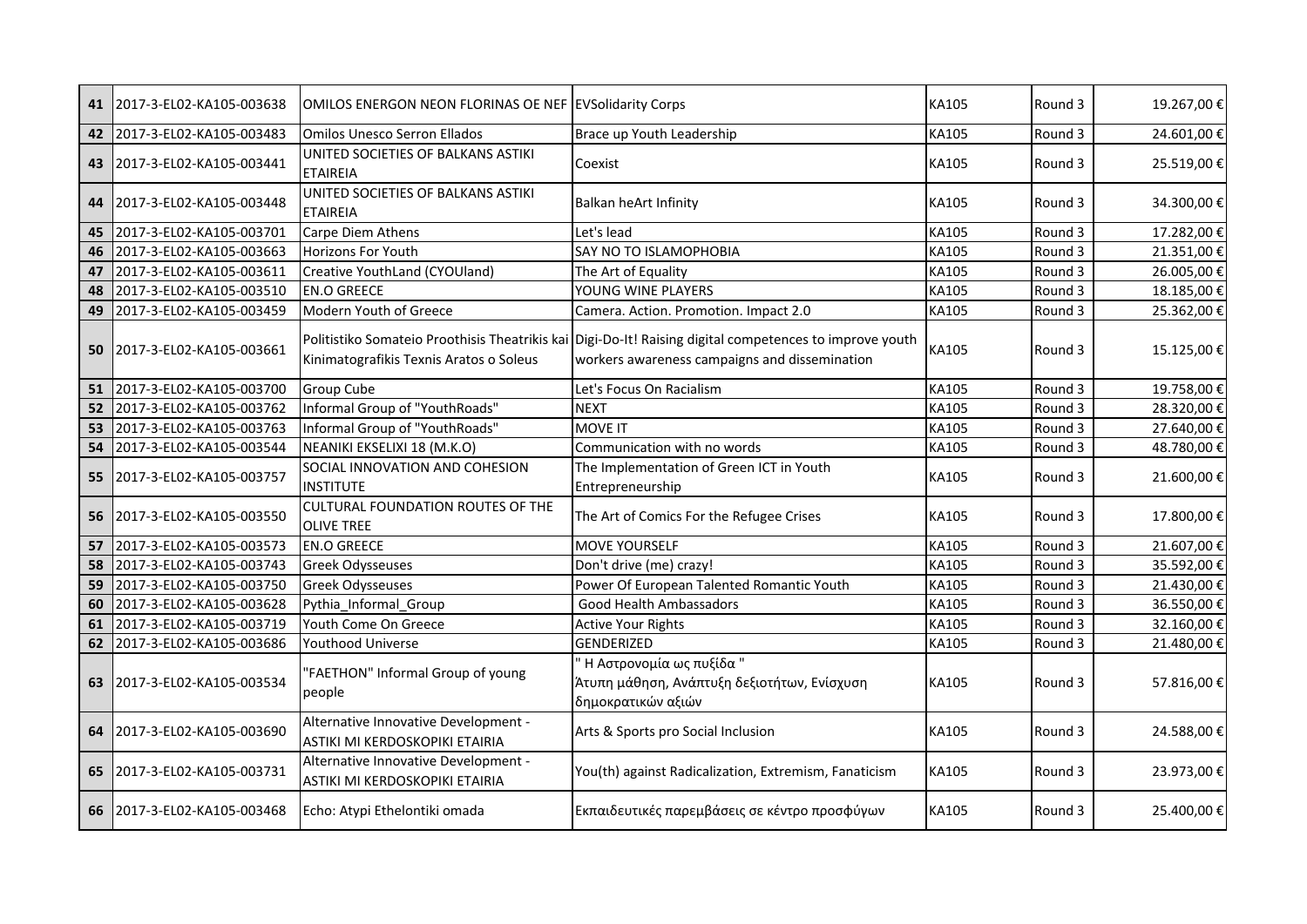| 41 | 2017-3-EL02-KA105-003638 | OMILOS ENERGON NEON FLORINAS OE NEF EVSolidarity Corps                 |                                                                                                                                                          | KA105        | Round 3 | 19.267,00€  |
|----|--------------------------|------------------------------------------------------------------------|----------------------------------------------------------------------------------------------------------------------------------------------------------|--------------|---------|-------------|
| 42 | 2017-3-EL02-KA105-003483 | <b>Omilos Unesco Serron Ellados</b>                                    | Brace up Youth Leadership                                                                                                                                | KA105        | Round 3 | 24.601,00€  |
| 43 | 2017-3-EL02-KA105-003441 | UNITED SOCIETIES OF BALKANS ASTIKI<br><b>ETAIREIA</b>                  | Coexist                                                                                                                                                  | KA105        | Round 3 | 25.519,00€  |
| 44 | 2017-3-EL02-KA105-003448 | UNITED SOCIETIES OF BALKANS ASTIKI<br><b>ETAIREIA</b>                  | Balkan heArt Infinity                                                                                                                                    | KA105        | Round 3 | 34.300,00€  |
| 45 | 2017-3-EL02-KA105-003701 | Carpe Diem Athens                                                      | Let's lead                                                                                                                                               | KA105        | Round 3 | 17.282,00€  |
| 46 | 2017-3-EL02-KA105-003663 | Horizons For Youth                                                     | <b>SAY NO TO ISLAMOPHOBIA</b>                                                                                                                            | <b>KA105</b> | Round 3 | 21.351,00 € |
| 47 | 2017-3-EL02-KA105-003611 | Creative YouthLand (CYOUland)                                          | The Art of Equality                                                                                                                                      | KA105        | Round 3 | 26.005,00€  |
| 48 | 2017-3-EL02-KA105-003510 | <b>EN.O GREECE</b>                                                     | YOUNG WINE PLAYERS                                                                                                                                       | KA105        | Round 3 | 18.185,00€  |
| 49 | 2017-3-EL02-KA105-003459 | Modern Youth of Greece                                                 | Camera. Action. Promotion. Impact 2.0                                                                                                                    | <b>KA105</b> | Round 3 | 25.362,00€  |
| 50 | 2017-3-EL02-KA105-003661 | Kinimatografikis Texnis Aratos o Soleus                                | Politistiko Somateio Proothisis Theatrikis kai Digi-Do-It! Raising digital competences to improve youth<br>workers awareness campaigns and dissemination | <b>KA105</b> | Round 3 | 15.125,00€  |
| 51 | 2017-3-EL02-KA105-003700 | <b>Group Cube</b>                                                      | Let's Focus On Racialism                                                                                                                                 | KA105        | Round 3 | 19.758,00€  |
| 52 | 2017-3-EL02-KA105-003762 | Informal Group of "YouthRoads"                                         | <b>NEXT</b>                                                                                                                                              | <b>KA105</b> | Round 3 | 28.320,00€  |
| 53 | 2017-3-EL02-KA105-003763 | Informal Group of "YouthRoads"                                         | <b>MOVE IT</b>                                                                                                                                           | <b>KA105</b> | Round 3 | 27.640,00€  |
| 54 | 2017-3-EL02-KA105-003544 | NEANIKI EKSELIXI 18 (M.K.O)                                            | Communication with no words                                                                                                                              | KA105        | Round 3 | 48.780,00€  |
| 55 | 2017-3-EL02-KA105-003757 | SOCIAL INNOVATION AND COHESION<br><b>INSTITUTE</b>                     | The Implementation of Green ICT in Youth<br>Entrepreneurship                                                                                             | KA105        | Round 3 | 21.600,00€  |
| 56 | 2017-3-EL02-KA105-003550 | <b>CULTURAL FOUNDATION ROUTES OF THE</b><br><b>OLIVE TREE</b>          | The Art of Comics For the Refugee Crises                                                                                                                 | KA105        | Round 3 | 17.800,00€  |
| 57 | 2017-3-EL02-KA105-003573 | <b>EN.O GREECE</b>                                                     | <b>MOVE YOURSELF</b>                                                                                                                                     | KA105        | Round 3 | 21.607,00€  |
| 58 | 2017-3-EL02-KA105-003743 | <b>Greek Odysseuses</b>                                                | Don't drive (me) crazy!                                                                                                                                  | KA105        | Round 3 | 35.592,00€  |
| 59 | 2017-3-EL02-KA105-003750 | <b>Greek Odysseuses</b>                                                | Power Of European Talented Romantic Youth                                                                                                                | KA105        | Round 3 | 21.430,00€  |
| 60 | 2017-3-EL02-KA105-003628 | Pythia Informal Group                                                  | Good Health Ambassadors                                                                                                                                  | <b>KA105</b> | Round 3 | 36.550,00€  |
| 61 | 2017-3-EL02-KA105-003719 | Youth Come On Greece                                                   | <b>Active Your Rights</b>                                                                                                                                | KA105        | Round 3 | 32.160,00€  |
| 62 | 2017-3-EL02-KA105-003686 | <b>Youthood Universe</b>                                               | <b>GENDERIZED</b>                                                                                                                                        | KA105        | Round 3 | 21.480,00€  |
| 63 | 2017-3-EL02-KA105-003534 | "FAETHON" Informal Group of young<br>people                            | " Η Αστρονομία ως πυξίδα "<br>Άτυπη μάθηση, Ανάπτυξη δεξιοτήτων, Ενίσχυση<br>δημοκρατικών αξιών                                                          | KA105        | Round 3 | 57.816,00€  |
| 64 | 2017-3-EL02-KA105-003690 | Alternative Innovative Development -<br>ASTIKI MI KERDOSKOPIKI ETAIRIA | Arts & Sports pro Social Inclusion                                                                                                                       | KA105        | Round 3 | 24.588,00 € |
| 65 | 2017-3-EL02-KA105-003731 | Alternative Innovative Development -<br>ASTIKI MI KERDOSKOPIKI ETAIRIA | You(th) against Radicalization, Extremism, Fanaticism                                                                                                    | KA105        | Round 3 | 23.973,00€  |
| 66 | 2017-3-EL02-KA105-003468 | Echo: Atypi Ethelontiki omada                                          | Εκπαιδευτικές παρεμβάσεις σε κέντρο προσφύγων                                                                                                            | KA105        | Round 3 | 25.400,00€  |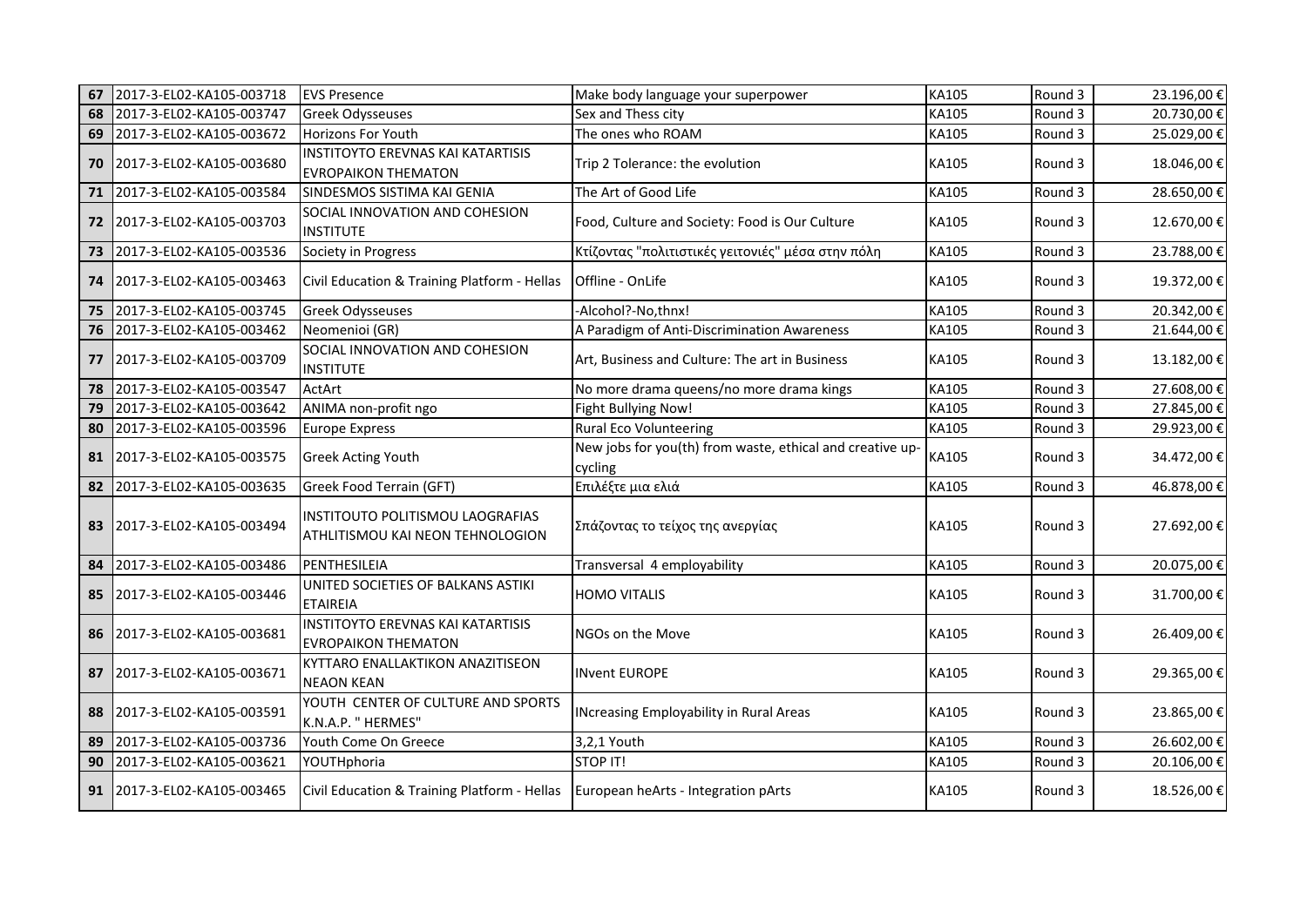| 67 | 2017-3-EL02-KA105-003718 | <b>EVS Presence</b>                                                    | Make body language your superpower                                   | KA105 | Round 3 | 23.196,00€  |
|----|--------------------------|------------------------------------------------------------------------|----------------------------------------------------------------------|-------|---------|-------------|
| 68 | 2017-3-EL02-KA105-003747 | <b>Greek Odysseuses</b>                                                | Sex and Thess city                                                   | KA105 | Round 3 | 20.730,00€  |
| 69 | 2017-3-EL02-KA105-003672 | Horizons For Youth                                                     | The ones who ROAM                                                    | KA105 | Round 3 | 25.029,00€  |
| 70 | 2017-3-EL02-KA105-003680 | INSTITOYTO EREVNAS KAI KATARTISIS<br><b>EVROPAIKON THEMATON</b>        | Trip 2 Tolerance: the evolution                                      | KA105 | Round 3 | 18.046,00 € |
| 71 | 2017-3-EL02-KA105-003584 | SINDESMOS SISTIMA KAI GENIA                                            | The Art of Good Life                                                 | KA105 | Round 3 | 28.650,00€  |
| 72 | 2017-3-EL02-KA105-003703 | SOCIAL INNOVATION AND COHESION<br><b>INSTITUTE</b>                     | Food, Culture and Society: Food is Our Culture                       | KA105 | Round 3 | 12.670,00€  |
| 73 | 2017-3-EL02-KA105-003536 | Society in Progress                                                    | Κτίζοντας "πολιτιστικές γειτονιές" μέσα στην πόλη                    | KA105 | Round 3 | 23.788,00 € |
| 74 | 2017-3-EL02-KA105-003463 | Civil Education & Training Platform - Hellas                           | Offline - OnLife                                                     | KA105 | Round 3 | 19.372,00€  |
| 75 | 2017-3-EL02-KA105-003745 | <b>Greek Odysseuses</b>                                                | -Alcohol?-No,thnx!                                                   | KA105 | Round 3 | 20.342,00€  |
| 76 | 2017-3-EL02-KA105-003462 | Neomenioi (GR)                                                         | A Paradigm of Anti-Discrimination Awareness                          | KA105 | Round 3 | 21.644,00€  |
| 77 | 2017-3-EL02-KA105-003709 | SOCIAL INNOVATION AND COHESION<br><b>INSTITUTE</b>                     | Art, Business and Culture: The art in Business                       | KA105 | Round 3 | 13.182,00€  |
| 78 | 2017-3-EL02-KA105-003547 | ActArt                                                                 | No more drama queens/no more drama kings                             | KA105 | Round 3 | 27.608,00€  |
| 79 | 2017-3-EL02-KA105-003642 | ANIMA non-profit ngo                                                   | Fight Bullying Now!                                                  | KA105 | Round 3 | 27.845,00 € |
| 80 | 2017-3-EL02-KA105-003596 | <b>Europe Express</b>                                                  | <b>Rural Eco Volunteering</b>                                        | KA105 | Round 3 | 29.923,00€  |
| 81 | 2017-3-EL02-KA105-003575 | <b>Greek Acting Youth</b>                                              | New jobs for you(th) from waste, ethical and creative up-<br>cycling | KA105 | Round 3 | 34.472,00 € |
| 82 | 2017-3-EL02-KA105-003635 | Greek Food Terrain (GFT)                                               | Επιλέξτε μια ελιά                                                    | KA105 | Round 3 | 46.878,00€  |
| 83 | 2017-3-EL02-KA105-003494 | INSTITOUTO POLITISMOU LAOGRAFIAS<br>ATHLITISMOU KAI NEON TEHNOLOGION   | Σπάζοντας το τείχος της ανεργίας                                     | KA105 | Round 3 | 27.692,00 € |
| 84 | 2017-3-EL02-KA105-003486 | PENTHESILEIA                                                           | Transversal 4 employability                                          | KA105 | Round 3 | 20.075,00€  |
| 85 | 2017-3-EL02-KA105-003446 | UNITED SOCIETIES OF BALKANS ASTIKI<br><b>ETAIREIA</b>                  | <b>HOMO VITALIS</b>                                                  | KA105 | Round 3 | 31.700,00 € |
| 86 | 2017-3-EL02-KA105-003681 | <b>INSTITOYTO EREVNAS KAI KATARTISIS</b><br><b>EVROPAIKON THEMATON</b> | NGOs on the Move                                                     | KA105 | Round 3 | 26.409,00€  |
| 87 | 2017-3-EL02-KA105-003671 | KYTTARO ENALLAKTIKON ANAZITISEON<br><b>NEAON KEAN</b>                  | <b>INvent EUROPE</b>                                                 | KA105 | Round 3 | 29.365,00 € |
| 88 | 2017-3-EL02-KA105-003591 | YOUTH CENTER OF CULTURE AND SPORTS<br>K.N.A.P. " HERMES"               | <b>INcreasing Employability in Rural Areas</b>                       | KA105 | Round 3 | 23.865,00 € |
| 89 | 2017-3-EL02-KA105-003736 | Youth Come On Greece                                                   | 3,2,1 Youth                                                          | KA105 | Round 3 | 26.602,00€  |
| 90 | 2017-3-EL02-KA105-003621 | YOUTHphoria                                                            | <b>STOP IT!</b>                                                      | KA105 | Round 3 | 20.106,00€  |
| 91 | 2017-3-EL02-KA105-003465 | Civil Education & Training Platform - Hellas                           | European heArts - Integration pArts                                  | KA105 | Round 3 | 18.526,00 € |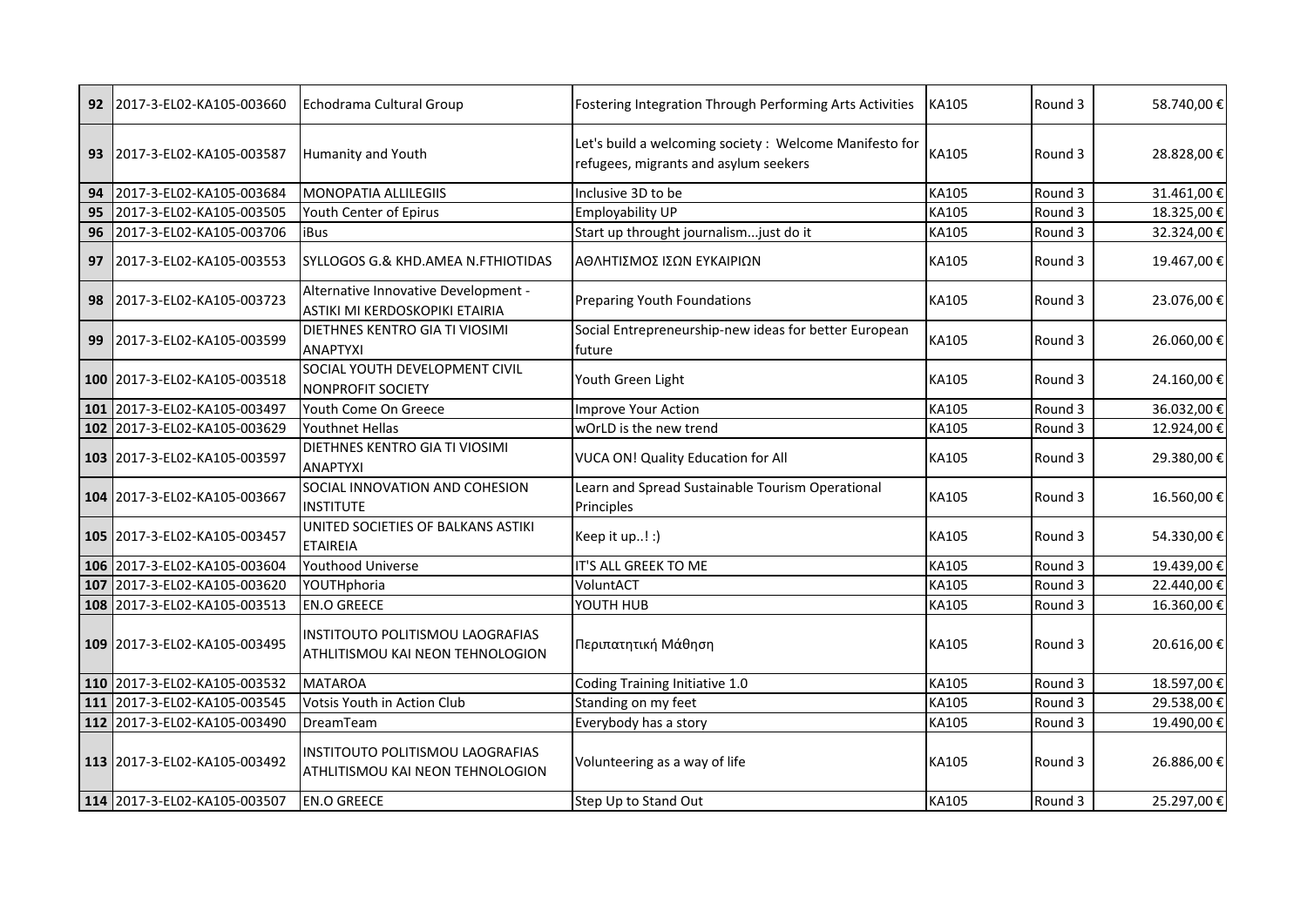| 92         | 2017-3-EL02-KA105-003660     | Echodrama Cultural Group                                               | Fostering Integration Through Performing Arts Activities                                        | KA105 | Round 3 | 58.740,00€  |
|------------|------------------------------|------------------------------------------------------------------------|-------------------------------------------------------------------------------------------------|-------|---------|-------------|
| 93         | 2017-3-EL02-KA105-003587     | <b>Humanity and Youth</b>                                              | Let's build a welcoming society: Welcome Manifesto for<br>refugees, migrants and asylum seekers | KA105 | Round 3 | 28.828,00 € |
| 94         | 2017-3-EL02-KA105-003684     | <b>MONOPATIA ALLILEGIIS</b>                                            | Inclusive 3D to be                                                                              | KA105 | Round 3 | 31.461,00€  |
| 95         | 2017-3-EL02-KA105-003505     | Youth Center of Epirus                                                 | Employability UP                                                                                | KA105 | Round 3 | 18.325,00€  |
| 96         | 2017-3-EL02-KA105-003706     | iBus                                                                   | Start up throught journalismjust do it                                                          | KA105 | Round 3 | 32.324,00€  |
| 97         | 2017-3-EL02-KA105-003553     | SYLLOGOS G.& KHD.AMEA N.FTHIOTIDAS                                     | ΑΘΛΗΤΙΣΜΟΣ ΙΣΩΝ ΕΥΚΑΙΡΙΩΝ                                                                       | KA105 | Round 3 | 19.467,00€  |
| 98         | 2017-3-EL02-KA105-003723     | Alternative Innovative Development -<br>ASTIKI MI KERDOSKOPIKI ETAIRIA | Preparing Youth Foundations                                                                     | KA105 | Round 3 | 23.076,00 € |
| 99         | 2017-3-EL02-KA105-003599     | DIETHNES KENTRO GIA TI VIOSIMI<br><b>ANAPTYXI</b>                      | Social Entrepreneurship-new ideas for better European<br>future                                 | KA105 | Round 3 | 26.060,00€  |
|            | 100 2017-3-EL02-KA105-003518 | SOCIAL YOUTH DEVELOPMENT CIVIL<br><b>NONPROFIT SOCIETY</b>             | Youth Green Light                                                                               | KA105 | Round 3 | 24.160,00€  |
| 101        | 2017-3-EL02-KA105-003497     | Youth Come On Greece                                                   | Improve Your Action                                                                             | KA105 | Round 3 | 36.032,00€  |
|            | 102 2017-3-EL02-KA105-003629 | Youthnet Hellas                                                        | wOrLD is the new trend                                                                          | KA105 | Round 3 | 12.924,00€  |
|            | 103 2017-3-EL02-KA105-003597 | DIETHNES KENTRO GIA TI VIOSIMI<br><b>ANAPTYXI</b>                      | VUCA ON! Quality Education for All                                                              | KA105 | Round 3 | 29.380,00€  |
|            | 104 2017-3-EL02-KA105-003667 | SOCIAL INNOVATION AND COHESION<br><b>INSTITUTE</b>                     | Learn and Spread Sustainable Tourism Operational<br>Principles                                  | KA105 | Round 3 | 16.560,00€  |
|            | 105 2017-3-EL02-KA105-003457 | UNITED SOCIETIES OF BALKANS ASTIKI<br><b>ETAIREIA</b>                  | Keep it up! :)                                                                                  | KA105 | Round 3 | 54.330,00 € |
| 106        | 2017-3-EL02-KA105-003604     | <b>Youthood Universe</b>                                               | IT'S ALL GREEK TO ME                                                                            | KA105 | Round 3 | 19.439,00€  |
| 107        | 2017-3-EL02-KA105-003620     | YOUTHphoria                                                            | VoluntACT                                                                                       | KA105 | Round 3 | 22.440,00€  |
| 108        | 2017-3-EL02-KA105-003513     | <b>EN.O GREECE</b>                                                     | YOUTH HUB                                                                                       | KA105 | Round 3 | 16.360,00€  |
|            | 109 2017-3-EL02-KA105-003495 | INSTITOUTO POLITISMOU LAOGRAFIAS<br>ATHLITISMOU KAI NEON TEHNOLOGION   | Περιπατητική Μάθηση                                                                             | KA105 | Round 3 | 20.616,00€  |
| <b>110</b> | 2017-3-EL02-KA105-003532     | <b>MATAROA</b>                                                         | Coding Training Initiative 1.0                                                                  | KA105 | Round 3 | 18.597,00€  |
| 111        | 2017-3-EL02-KA105-003545     | Votsis Youth in Action Club                                            | Standing on my feet                                                                             | KA105 | Round 3 | 29.538,00€  |
| 112        | 2017-3-EL02-KA105-003490     | DreamTeam                                                              | Everybody has a story                                                                           | KA105 | Round 3 | 19.490,00€  |
|            | 113 2017-3-EL02-KA105-003492 | INSTITOUTO POLITISMOU LAOGRAFIAS<br>ATHLITISMOU KAI NEON TEHNOLOGION   | Volunteering as a way of life                                                                   | KA105 | Round 3 | 26.886,00 € |
|            | 114 2017-3-EL02-KA105-003507 | <b>EN.O GREECE</b>                                                     | Step Up to Stand Out                                                                            | KA105 | Round 3 | 25.297,00€  |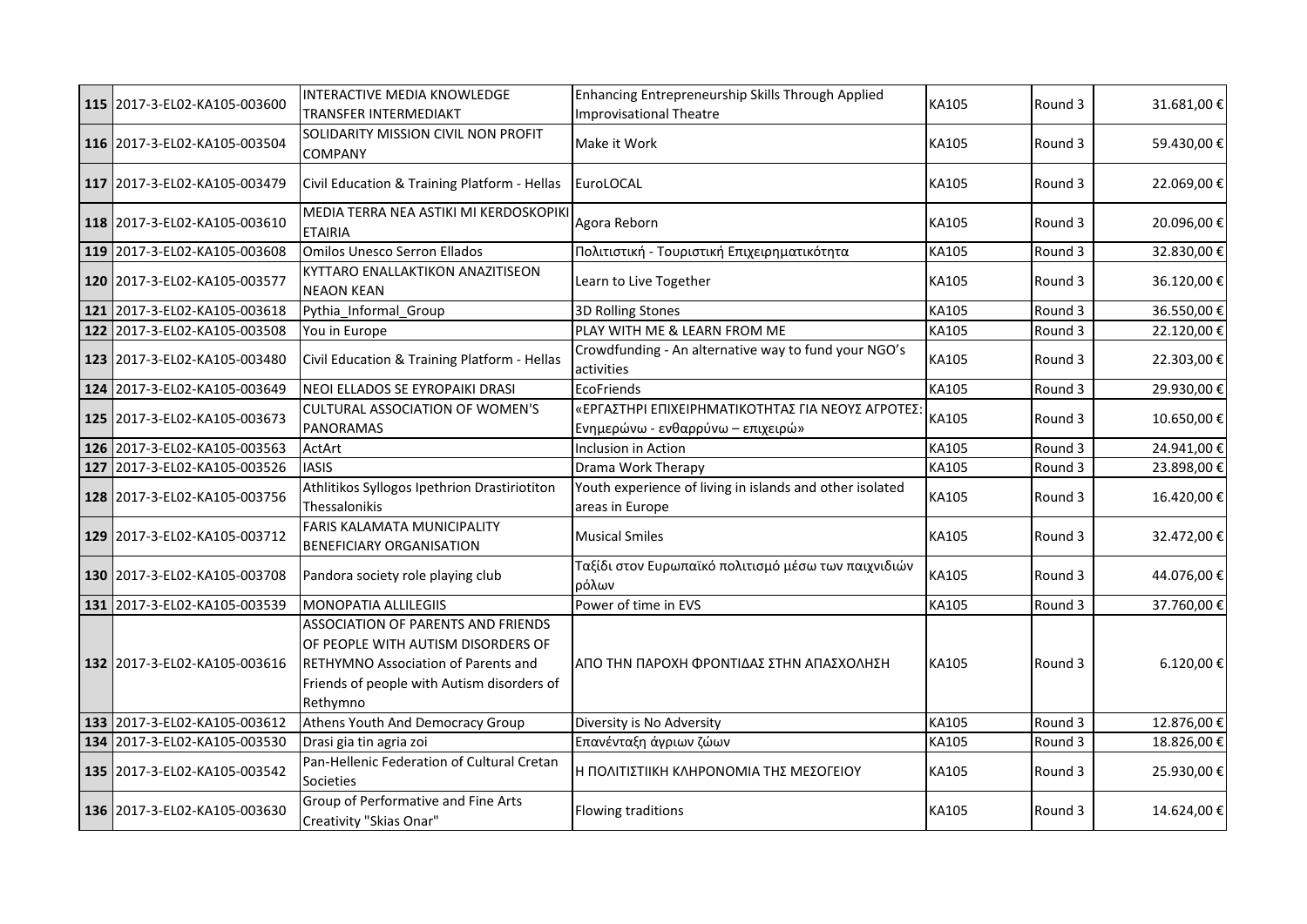|     | 115 2017-3-EL02-KA105-003600 | INTERACTIVE MEDIA KNOWLEDGE<br>TRANSFER INTERMEDIAKT                                                                                                                      | Enhancing Entrepreneurship Skills Through Applied<br>Improvisational Theatre           | KA105 | Round 3 | 31.681,00€  |
|-----|------------------------------|---------------------------------------------------------------------------------------------------------------------------------------------------------------------------|----------------------------------------------------------------------------------------|-------|---------|-------------|
|     | 116 2017-3-EL02-KA105-003504 | SOLIDARITY MISSION CIVIL NON PROFIT<br><b>COMPANY</b>                                                                                                                     | Make it Work                                                                           | KA105 | Round 3 | 59.430,00€  |
|     | 117 2017-3-EL02-KA105-003479 | Civil Education & Training Platform - Hellas                                                                                                                              | EuroLOCAL                                                                              | KA105 | Round 3 | 22.069,00€  |
|     | 118 2017-3-EL02-KA105-003610 | MEDIA TERRA NEA ASTIKI MI KERDOSKOPIKI<br><b>ETAIRIA</b>                                                                                                                  | Agora Reborn                                                                           | KA105 | Round 3 | 20.096,00€  |
|     | 119 2017-3-EL02-KA105-003608 | <b>Omilos Unesco Serron Ellados</b>                                                                                                                                       | Πολιτιστική - Τουριστική Επιχειρηματικότητα                                            | KA105 | Round 3 | 32.830,00€  |
|     | 120 2017-3-EL02-KA105-003577 | KYTTARO ENALLAKTIKON ANAZITISEON<br><b>NEAON KEAN</b>                                                                                                                     | Learn to Live Together                                                                 | KA105 | Round 3 | 36.120,00€  |
|     | 121 2017-3-EL02-KA105-003618 | Pythia Informal Group                                                                                                                                                     | <b>3D Rolling Stones</b>                                                               | KA105 | Round 3 | 36.550,00€  |
|     | 122 2017-3-EL02-KA105-003508 | You in Europe                                                                                                                                                             | PLAY WITH ME & LEARN FROM ME                                                           | KA105 | Round 3 | 22.120,00€  |
|     | 123 2017-3-EL02-KA105-003480 | Civil Education & Training Platform - Hellas                                                                                                                              | Crowdfunding - An alternative way to fund your NGO's<br>activities                     | KA105 | Round 3 | 22.303,00€  |
|     | 124 2017-3-EL02-KA105-003649 | NEOI ELLADOS SE EYROPAIKI DRASI                                                                                                                                           | <b>EcoFriends</b>                                                                      | KA105 | Round 3 | 29.930,00€  |
|     | 125 2017-3-EL02-KA105-003673 | <b>CULTURAL ASSOCIATION OF WOMEN'S</b><br><b>PANORAMAS</b>                                                                                                                | «ΕΡΓΑΣΤΗΡΙ ΕΠΙΧΕΙΡΗΜΑΤΙΚΟΤΗΤΑΣ ΓΙΑ ΝΕΟΥΣ ΑΓΡΟΤΕΣ:<br>Ενημερώνω - ενθαρρύνω – επιχειρώ» | KA105 | Round 3 | 10.650,00€  |
|     | 126 2017-3-EL02-KA105-003563 | ActArt                                                                                                                                                                    | Inclusion in Action                                                                    | KA105 | Round 3 | 24.941,00€  |
| 127 | 2017-3-EL02-KA105-003526     | <b>IASIS</b>                                                                                                                                                              | Drama Work Therapy                                                                     | KA105 | Round 3 | 23.898,00€  |
|     | 128 2017-3-EL02-KA105-003756 | Athlitikos Syllogos Ipethrion Drastiriotiton<br>Thessalonikis                                                                                                             | Youth experience of living in islands and other isolated<br>areas in Europe            | KA105 | Round 3 | 16.420,00€  |
|     | 129 2017-3-EL02-KA105-003712 | FARIS KALAMATA MUNICIPALITY<br><b>BENEFICIARY ORGANISATION</b>                                                                                                            | <b>Musical Smiles</b>                                                                  | KA105 | Round 3 | 32.472,00 € |
|     | 130 2017-3-EL02-KA105-003708 | Pandora society role playing club                                                                                                                                         | Ταξίδι στον Ευρωπαϊκό πολιτισμό μέσω των παιχνιδιών<br>ρόλων                           | KA105 | Round 3 | 44.076,00€  |
|     | 131 2017-3-EL02-KA105-003539 | <b>MONOPATIA ALLILEGIIS</b>                                                                                                                                               | Power of time in EVS                                                                   | KA105 | Round 3 | 37.760,00€  |
|     | 132 2017-3-EL02-KA105-003616 | ASSOCIATION OF PARENTS AND FRIENDS<br>OF PEOPLE WITH AUTISM DISORDERS OF<br>RETHYMNO Association of Parents and<br>Friends of people with Autism disorders of<br>Rethymno | ΑΠΟ ΤΗΝ ΠΑΡΟΧΗ ΦΡΟΝΤΙΔΑΣ ΣΤΗΝ ΑΠΑΣΧΟΛΗΣΗ                                               | KA105 | Round 3 | 6.120,00€   |
|     | 133 2017-3-EL02-KA105-003612 | Athens Youth And Democracy Group                                                                                                                                          | Diversity is No Adversity                                                              | KA105 | Round 3 | 12.876,00€  |
|     | 134 2017-3-EL02-KA105-003530 | Drasi gia tin agria zoi                                                                                                                                                   | Επανένταξη άγριων ζώων                                                                 | KA105 | Round 3 | 18.826,00€  |
|     | 135 2017-3-EL02-KA105-003542 | Pan-Hellenic Federation of Cultural Cretan<br>Societies                                                                                                                   | Η ΠΟΛΙΤΙΣΤΙΙΚΗ ΚΛΗΡΟΝΟΜΙΑ ΤΗΣ ΜΕΣΟΓΕΙΟΥ                                                | KA105 | Round 3 | 25.930,00€  |
|     | 136 2017-3-EL02-KA105-003630 | Group of Performative and Fine Arts<br>Creativity "Skias Onar"                                                                                                            | Flowing traditions                                                                     | KA105 | Round 3 | 14.624,00€  |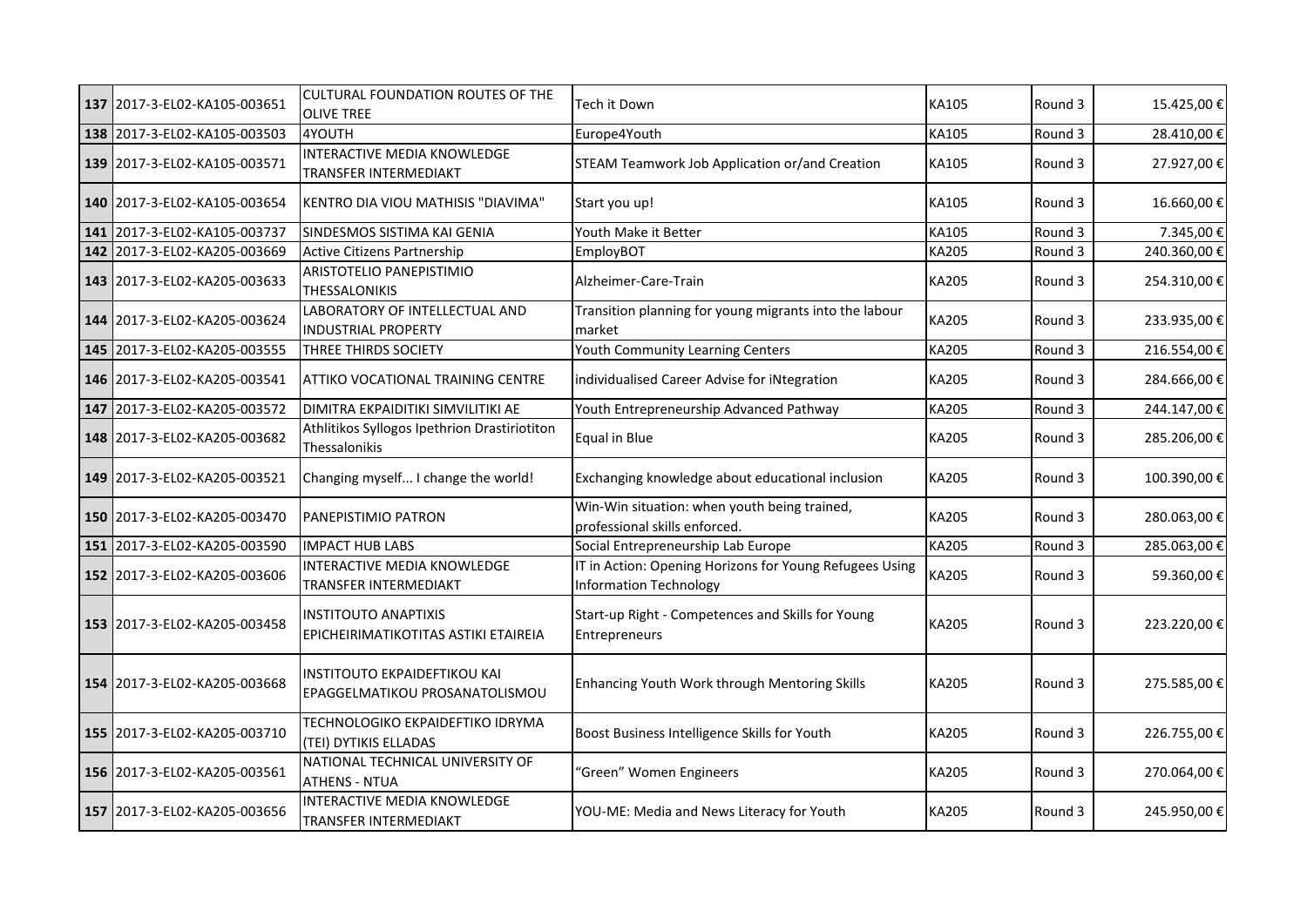| 137 | 2017-3-EL02-KA105-003651     | CULTURAL FOUNDATION ROUTES OF THE<br><b>OLIVE TREE</b>                | Tech it Down                                                                      | KA105        | Round 3 | 15.425,00 €  |
|-----|------------------------------|-----------------------------------------------------------------------|-----------------------------------------------------------------------------------|--------------|---------|--------------|
| 138 | 2017-3-EL02-KA105-003503     | 4YOUTH                                                                | Europe4Youth                                                                      | KA105        | Round 3 | 28.410,00€   |
|     | 139 2017-3-EL02-KA105-003571 | INTERACTIVE MEDIA KNOWLEDGE<br>TRANSFER INTERMEDIAKT                  | STEAM Teamwork Job Application or/and Creation                                    | KA105        | Round 3 | 27.927,00€   |
|     | 140 2017-3-EL02-KA105-003654 | KENTRO DIA VIOU MATHISIS "DIAVIMA"                                    | Start you up!                                                                     | KA105        | Round 3 | 16.660,00€   |
| 141 | 2017-3-EL02-KA105-003737     | SINDESMOS SISTIMA KAI GENIA                                           | Youth Make it Better                                                              | KA105        | Round 3 | 7.345,00€    |
| 142 | 2017-3-EL02-KA205-003669     | <b>Active Citizens Partnership</b>                                    | EmployBOT                                                                         | <b>KA205</b> | Round 3 | 240.360,00€  |
|     | 143 2017-3-EL02-KA205-003633 | ARISTOTELIO PANEPISTIMIO<br><b>THESSALONIKIS</b>                      | Alzheimer-Care-Train                                                              | <b>KA205</b> | Round 3 | 254.310,00€  |
|     | 144 2017-3-EL02-KA205-003624 | LABORATORY OF INTELLECTUAL AND<br><b>INDUSTRIAL PROPERTY</b>          | Transition planning for young migrants into the labour<br>market                  | <b>KA205</b> | Round 3 | 233.935,00 € |
|     | 145 2017-3-EL02-KA205-003555 | THREE THIRDS SOCIETY                                                  | Youth Community Learning Centers                                                  | <b>KA205</b> | Round 3 | 216.554,00€  |
|     | 146 2017-3-EL02-KA205-003541 | ATTIKO VOCATIONAL TRAINING CENTRE                                     | individualised Career Advise for iNtegration                                      | KA205        | Round 3 | 284.666,00€  |
| 147 | 2017-3-EL02-KA205-003572     | DIMITRA EKPAIDITIKI SIMVILITIKI AE                                    | Youth Entrepreneurship Advanced Pathway                                           | <b>KA205</b> | Round 3 | 244.147,00€  |
|     | 148 2017-3-EL02-KA205-003682 | Athlitikos Syllogos Ipethrion Drastiriotiton<br>Thessalonikis         | Equal in Blue                                                                     | <b>KA205</b> | Round 3 | 285.206,00€  |
|     | 149 2017-3-EL02-KA205-003521 | Changing myself I change the world!                                   | Exchanging knowledge about educational inclusion                                  | KA205        | Round 3 | 100.390,00€  |
|     | 150 2017-3-EL02-KA205-003470 | PANEPISTIMIO PATRON                                                   | Win-Win situation: when youth being trained,<br>professional skills enforced.     | <b>KA205</b> | Round 3 | 280.063,00€  |
| 151 | 2017-3-EL02-KA205-003590     | <b>IMPACT HUB LABS</b>                                                | Social Entrepreneurship Lab Europe                                                | <b>KA205</b> | Round 3 | 285.063,00€  |
|     | 152 2017-3-EL02-KA205-003606 | INTERACTIVE MEDIA KNOWLEDGE<br>TRANSFER INTERMEDIAKT                  | IT in Action: Opening Horizons for Young Refugees Using<br>Information Technology | <b>KA205</b> | Round 3 | 59.360,00€   |
|     | 153 2017-3-EL02-KA205-003458 | <b>INSTITOUTO ANAPTIXIS</b><br>EPICHEIRIMATIKOTITAS ASTIKI ETAIREIA   | Start-up Right - Competences and Skills for Young<br>Entrepreneurs                | <b>KA205</b> | Round 3 | 223.220,00 € |
|     | 154 2017-3-EL02-KA205-003668 | <b>INSTITOUTO EKPAIDEFTIKOU KAI</b><br>EPAGGELMATIKOU PROSANATOLISMOU | Enhancing Youth Work through Mentoring Skills                                     | <b>KA205</b> | Round 3 | 275.585,00€  |
|     | 155 2017-3-EL02-KA205-003710 | TECHNOLOGIKO EKPAIDEFTIKO IDRYMA<br>(TEI) DYTIKIS ELLADAS             | Boost Business Intelligence Skills for Youth                                      | <b>KA205</b> | Round 3 | 226.755,00€  |
|     | 156 2017-3-EL02-KA205-003561 | NATIONAL TECHNICAL UNIVERSITY OF<br><b>ATHENS - NTUA</b>              | 'Green" Women Engineers                                                           | <b>KA205</b> | Round 3 | 270.064,00€  |
|     | 157 2017-3-EL02-KA205-003656 | INTERACTIVE MEDIA KNOWLEDGE<br>TRANSFER INTERMEDIAKT                  | YOU-ME: Media and News Literacy for Youth                                         | KA205        | Round 3 | 245.950,00€  |